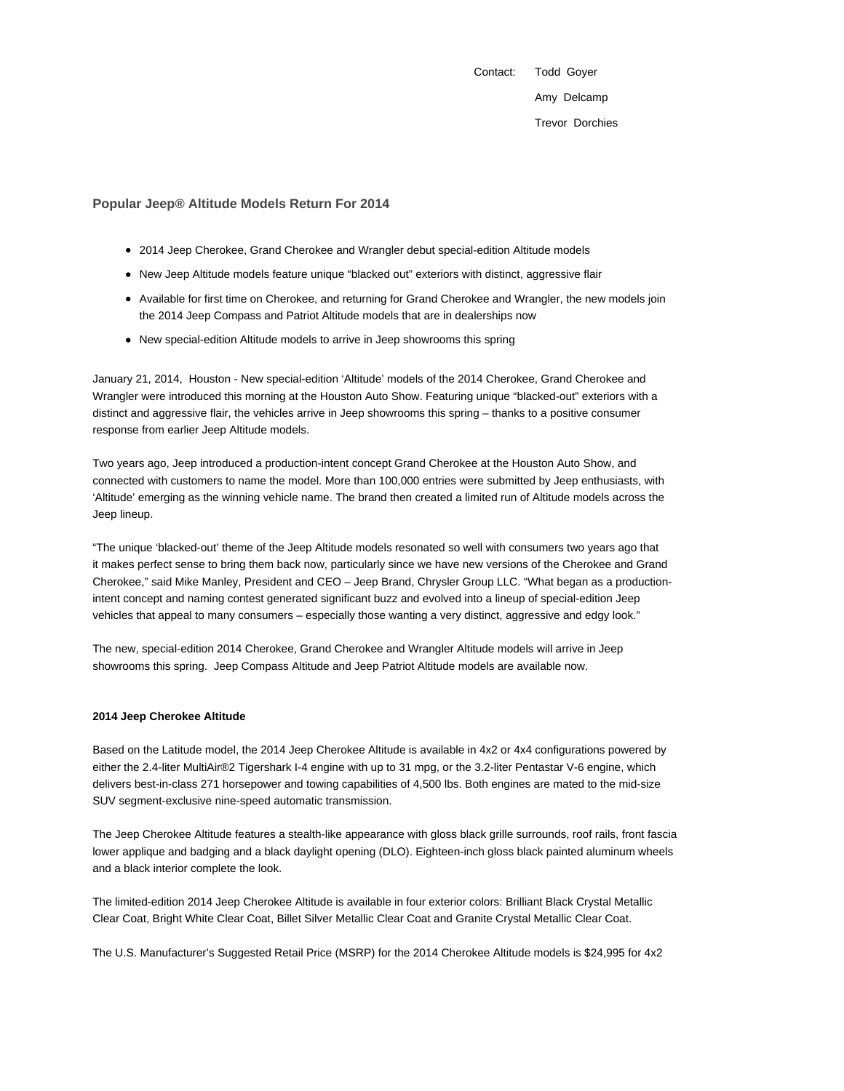Contact: Todd Goyer Amy Delcamp Trevor Dorchies

## **Popular Jeep® Altitude Models Return For 2014**

- 2014 Jeep Cherokee, Grand Cherokee and Wrangler debut special-edition Altitude models
- New Jeep Altitude models feature unique "blacked out" exteriors with distinct, aggressive flair
- Available for first time on Cherokee, and returning for Grand Cherokee and Wrangler, the new models join the 2014 Jeep Compass and Patriot Altitude models that are in dealerships now
- New special-edition Altitude models to arrive in Jeep showrooms this spring

January 21, 2014, Houston - New special-edition 'Altitude' models of the 2014 Cherokee, Grand Cherokee and Wrangler were introduced this morning at the Houston Auto Show. Featuring unique "blacked-out" exteriors with a distinct and aggressive flair, the vehicles arrive in Jeep showrooms this spring – thanks to a positive consumer response from earlier Jeep Altitude models.

Two years ago, Jeep introduced a production-intent concept Grand Cherokee at the Houston Auto Show, and connected with customers to name the model. More than 100,000 entries were submitted by Jeep enthusiasts, with 'Altitude' emerging as the winning vehicle name. The brand then created a limited run of Altitude models across the Jeep lineup.

"The unique 'blacked-out' theme of the Jeep Altitude models resonated so well with consumers two years ago that it makes perfect sense to bring them back now, particularly since we have new versions of the Cherokee and Grand Cherokee," said Mike Manley, President and CEO – Jeep Brand, Chrysler Group LLC. "What began as a productionintent concept and naming contest generated significant buzz and evolved into a lineup of special-edition Jeep vehicles that appeal to many consumers – especially those wanting a very distinct, aggressive and edgy look."

The new, special-edition 2014 Cherokee, Grand Cherokee and Wrangler Altitude models will arrive in Jeep showrooms this spring. Jeep Compass Altitude and Jeep Patriot Altitude models are available now.

#### **2014 Jeep Cherokee Altitude**

Based on the Latitude model, the 2014 Jeep Cherokee Altitude is available in 4x2 or 4x4 configurations powered by either the 2.4-liter MultiAir®2 Tigershark I-4 engine with up to 31 mpg, or the 3.2-liter Pentastar V-6 engine, which delivers best-in-class 271 horsepower and towing capabilities of 4,500 lbs. Both engines are mated to the mid-size SUV segment-exclusive nine-speed automatic transmission.

The Jeep Cherokee Altitude features a stealth-like appearance with gloss black grille surrounds, roof rails, front fascia lower applique and badging and a black daylight opening (DLO). Eighteen-inch gloss black painted aluminum wheels and a black interior complete the look.

The limited-edition 2014 Jeep Cherokee Altitude is available in four exterior colors: Brilliant Black Crystal Metallic Clear Coat, Bright White Clear Coat, Billet Silver Metallic Clear Coat and Granite Crystal Metallic Clear Coat.

The U.S. Manufacturer's Suggested Retail Price (MSRP) for the 2014 Cherokee Altitude models is \$24,995 for 4x2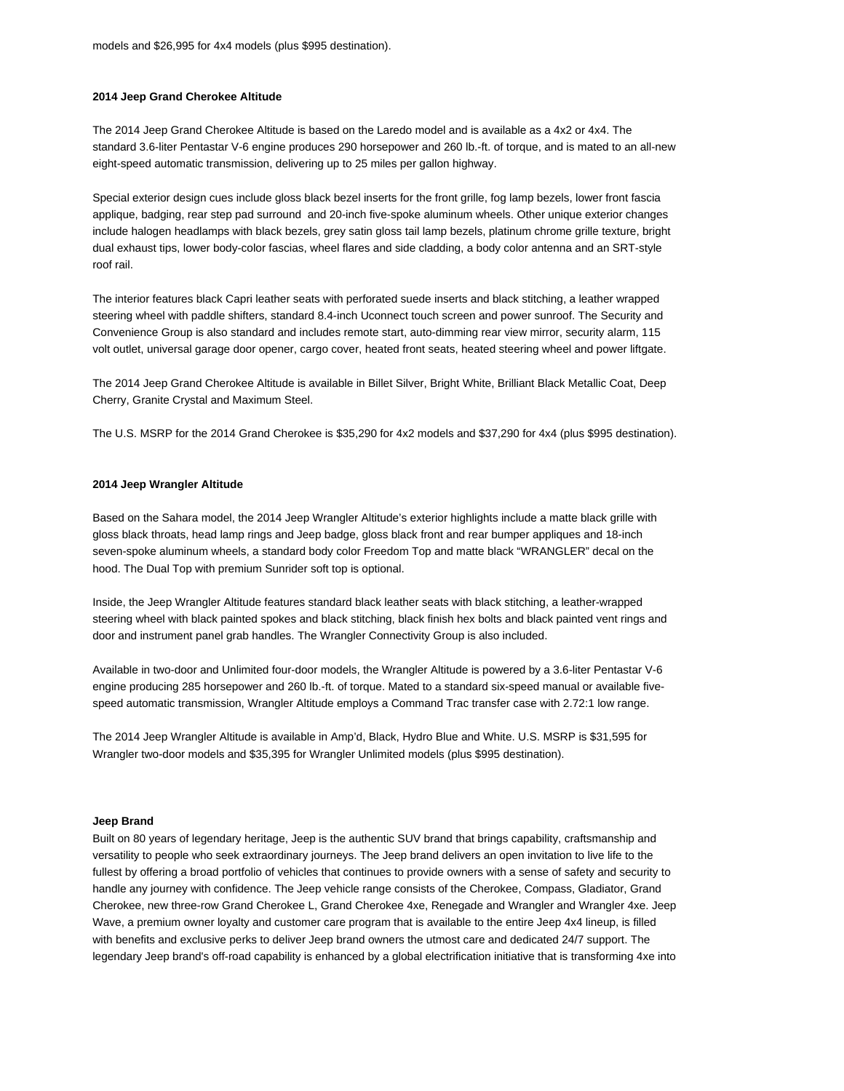#### **2014 Jeep Grand Cherokee Altitude**

The 2014 Jeep Grand Cherokee Altitude is based on the Laredo model and is available as a 4x2 or 4x4. The standard 3.6-liter Pentastar V-6 engine produces 290 horsepower and 260 lb.-ft. of torque, and is mated to an all-new eight-speed automatic transmission, delivering up to 25 miles per gallon highway.

Special exterior design cues include gloss black bezel inserts for the front grille, fog lamp bezels, lower front fascia applique, badging, rear step pad surround and 20-inch five-spoke aluminum wheels. Other unique exterior changes include halogen headlamps with black bezels, grey satin gloss tail lamp bezels, platinum chrome grille texture, bright dual exhaust tips, lower body-color fascias, wheel flares and side cladding, a body color antenna and an SRT-style roof rail.

The interior features black Capri leather seats with perforated suede inserts and black stitching, a leather wrapped steering wheel with paddle shifters, standard 8.4-inch Uconnect touch screen and power sunroof. The Security and Convenience Group is also standard and includes remote start, auto-dimming rear view mirror, security alarm, 115 volt outlet, universal garage door opener, cargo cover, heated front seats, heated steering wheel and power liftgate.

The 2014 Jeep Grand Cherokee Altitude is available in Billet Silver, Bright White, Brilliant Black Metallic Coat, Deep Cherry, Granite Crystal and Maximum Steel.

The U.S. MSRP for the 2014 Grand Cherokee is \$35,290 for 4x2 models and \$37,290 for 4x4 (plus \$995 destination).

## **2014 Jeep Wrangler Altitude**

Based on the Sahara model, the 2014 Jeep Wrangler Altitude's exterior highlights include a matte black grille with gloss black throats, head lamp rings and Jeep badge, gloss black front and rear bumper appliques and 18-inch seven-spoke aluminum wheels, a standard body color Freedom Top and matte black "WRANGLER" decal on the hood. The Dual Top with premium Sunrider soft top is optional.

Inside, the Jeep Wrangler Altitude features standard black leather seats with black stitching, a leather-wrapped steering wheel with black painted spokes and black stitching, black finish hex bolts and black painted vent rings and door and instrument panel grab handles. The Wrangler Connectivity Group is also included.

Available in two-door and Unlimited four-door models, the Wrangler Altitude is powered by a 3.6-liter Pentastar V-6 engine producing 285 horsepower and 260 lb.-ft. of torque. Mated to a standard six-speed manual or available fivespeed automatic transmission, Wrangler Altitude employs a Command Trac transfer case with 2.72:1 low range.

The 2014 Jeep Wrangler Altitude is available in Amp'd, Black, Hydro Blue and White. U.S. MSRP is \$31,595 for Wrangler two-door models and \$35,395 for Wrangler Unlimited models (plus \$995 destination).

#### **Jeep Brand**

Built on 80 years of legendary heritage, Jeep is the authentic SUV brand that brings capability, craftsmanship and versatility to people who seek extraordinary journeys. The Jeep brand delivers an open invitation to live life to the fullest by offering a broad portfolio of vehicles that continues to provide owners with a sense of safety and security to handle any journey with confidence. The Jeep vehicle range consists of the Cherokee, Compass, Gladiator, Grand Cherokee, new three-row Grand Cherokee L, Grand Cherokee 4xe, Renegade and Wrangler and Wrangler 4xe. Jeep Wave, a premium owner loyalty and customer care program that is available to the entire Jeep 4x4 lineup, is filled with benefits and exclusive perks to deliver Jeep brand owners the utmost care and dedicated 24/7 support. The legendary Jeep brand's off-road capability is enhanced by a global electrification initiative that is transforming 4xe into